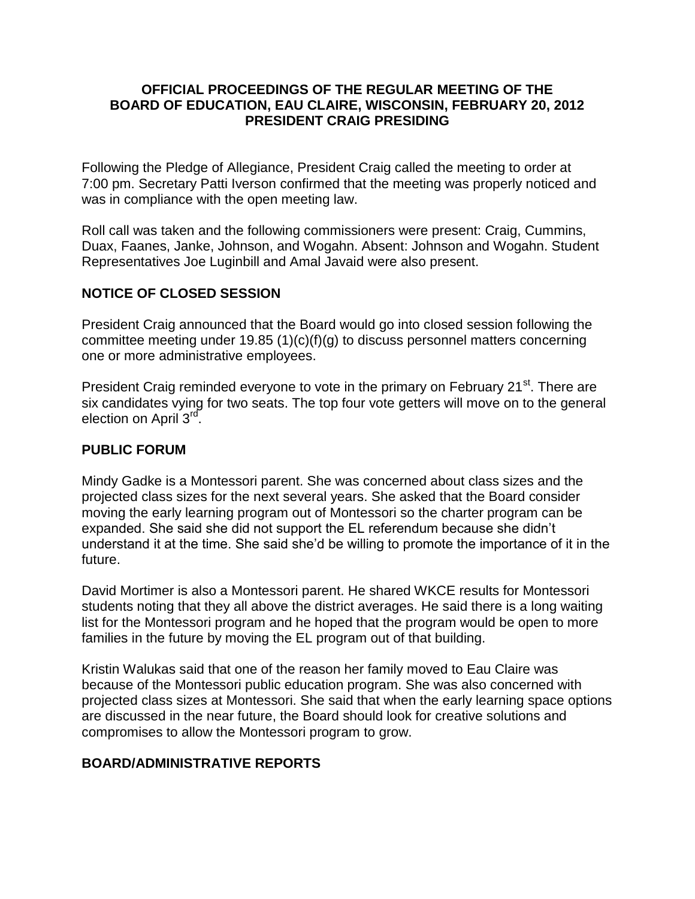#### **OFFICIAL PROCEEDINGS OF THE REGULAR MEETING OF THE BOARD OF EDUCATION, EAU CLAIRE, WISCONSIN, FEBRUARY 20, 2012 PRESIDENT CRAIG PRESIDING**

Following the Pledge of Allegiance, President Craig called the meeting to order at 7:00 pm. Secretary Patti Iverson confirmed that the meeting was properly noticed and was in compliance with the open meeting law.

Roll call was taken and the following commissioners were present: Craig, Cummins, Duax, Faanes, Janke, Johnson, and Wogahn. Absent: Johnson and Wogahn. Student Representatives Joe Luginbill and Amal Javaid were also present.

# **NOTICE OF CLOSED SESSION**

President Craig announced that the Board would go into closed session following the committee meeting under 19.85 (1)(c)(f)(g) to discuss personnel matters concerning one or more administrative employees.

President Craig reminded everyone to vote in the primary on February 21<sup>st</sup>. There are six candidates vying for two seats. The top four vote getters will move on to the general election on April<sup>3rd</sup>.

### **PUBLIC FORUM**

Mindy Gadke is a Montessori parent. She was concerned about class sizes and the projected class sizes for the next several years. She asked that the Board consider moving the early learning program out of Montessori so the charter program can be expanded. She said she did not support the EL referendum because she didn't understand it at the time. She said she'd be willing to promote the importance of it in the future.

David Mortimer is also a Montessori parent. He shared WKCE results for Montessori students noting that they all above the district averages. He said there is a long waiting list for the Montessori program and he hoped that the program would be open to more families in the future by moving the EL program out of that building.

Kristin Walukas said that one of the reason her family moved to Eau Claire was because of the Montessori public education program. She was also concerned with projected class sizes at Montessori. She said that when the early learning space options are discussed in the near future, the Board should look for creative solutions and compromises to allow the Montessori program to grow.

# **BOARD/ADMINISTRATIVE REPORTS**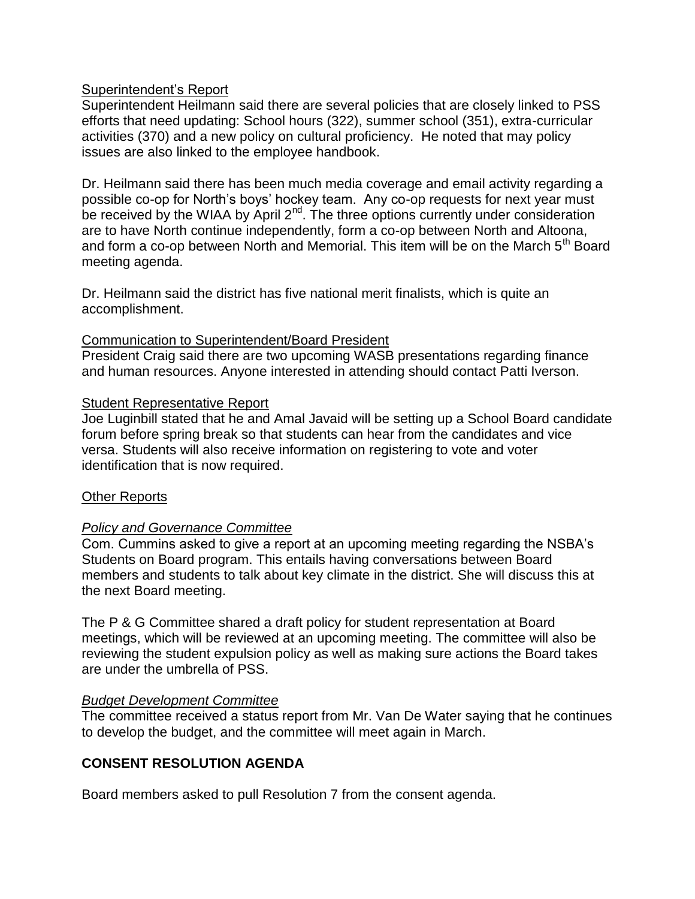### Superintendent's Report

Superintendent Heilmann said there are several policies that are closely linked to PSS efforts that need updating: School hours (322), summer school (351), extra-curricular activities (370) and a new policy on cultural proficiency. He noted that may policy issues are also linked to the employee handbook.

Dr. Heilmann said there has been much media coverage and email activity regarding a possible co-op for North's boys' hockey team. Any co-op requests for next year must be received by the WIAA by April 2<sup>nd</sup>. The three options currently under consideration are to have North continue independently, form a co-op between North and Altoona, and form a co-op between North and Memorial. This item will be on the March  $5<sup>th</sup>$  Board meeting agenda.

Dr. Heilmann said the district has five national merit finalists, which is quite an accomplishment.

### Communication to Superintendent/Board President

President Craig said there are two upcoming WASB presentations regarding finance and human resources. Anyone interested in attending should contact Patti Iverson.

### **Student Representative Report**

Joe Luginbill stated that he and Amal Javaid will be setting up a School Board candidate forum before spring break so that students can hear from the candidates and vice versa. Students will also receive information on registering to vote and voter identification that is now required.

### **Other Reports**

# *Policy and Governance Committee*

Com. Cummins asked to give a report at an upcoming meeting regarding the NSBA's Students on Board program. This entails having conversations between Board members and students to talk about key climate in the district. She will discuss this at the next Board meeting.

The P & G Committee shared a draft policy for student representation at Board meetings, which will be reviewed at an upcoming meeting. The committee will also be reviewing the student expulsion policy as well as making sure actions the Board takes are under the umbrella of PSS.

### *Budget Development Committee*

The committee received a status report from Mr. Van De Water saying that he continues to develop the budget, and the committee will meet again in March.

# **CONSENT RESOLUTION AGENDA**

Board members asked to pull Resolution 7 from the consent agenda.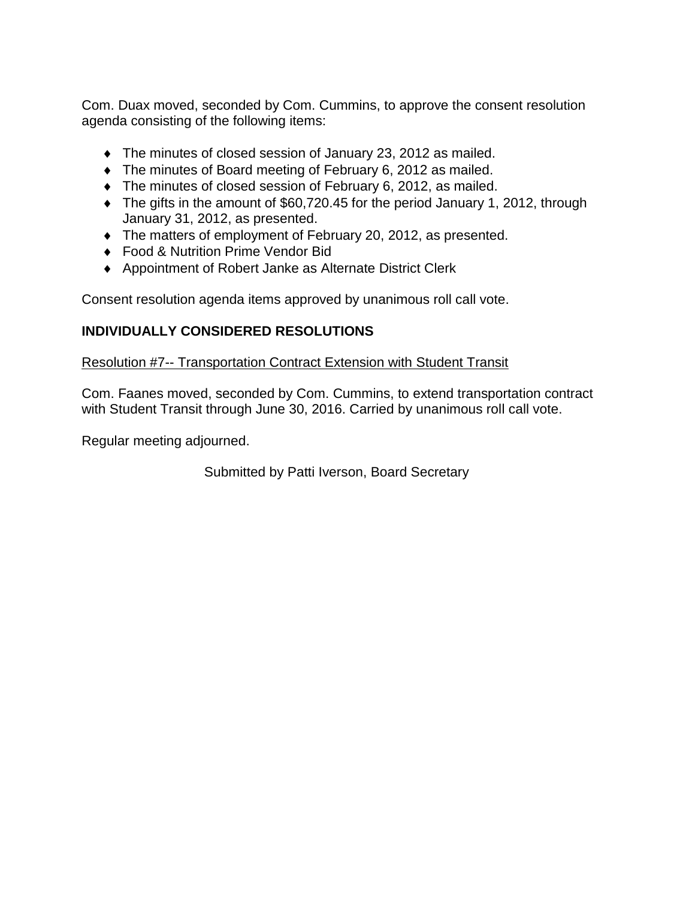Com. Duax moved, seconded by Com. Cummins, to approve the consent resolution agenda consisting of the following items:

- The minutes of closed session of January 23, 2012 as mailed.
- The minutes of Board meeting of February 6, 2012 as mailed.
- $\bullet$  The minutes of closed session of February 6, 2012, as mailed.
- The gifts in the amount of \$60,720.45 for the period January 1, 2012, through January 31, 2012, as presented.
- The matters of employment of February 20, 2012, as presented.
- ◆ Food & Nutrition Prime Vendor Bid
- Appointment of Robert Janke as Alternate District Clerk

Consent resolution agenda items approved by unanimous roll call vote.

# **INDIVIDUALLY CONSIDERED RESOLUTIONS**

## Resolution #7-- Transportation Contract Extension with Student Transit

Com. Faanes moved, seconded by Com. Cummins, to extend transportation contract with Student Transit through June 30, 2016. Carried by unanimous roll call vote.

Regular meeting adjourned.

Submitted by Patti Iverson, Board Secretary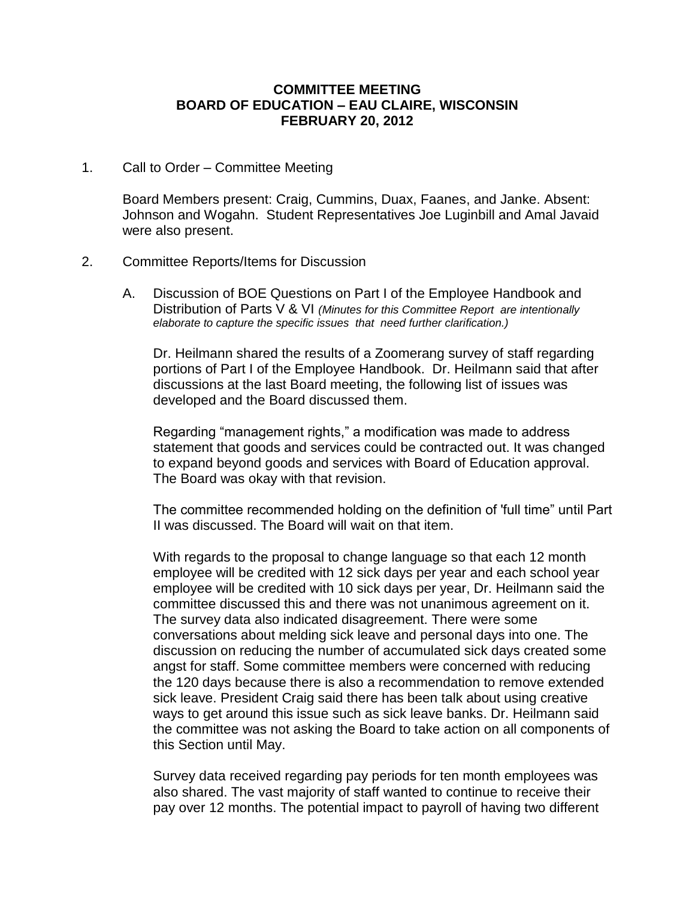#### **COMMITTEE MEETING BOARD OF EDUCATION – EAU CLAIRE, WISCONSIN FEBRUARY 20, 2012**

1. Call to Order – Committee Meeting

Board Members present: Craig, Cummins, Duax, Faanes, and Janke. Absent: Johnson and Wogahn. Student Representatives Joe Luginbill and Amal Javaid were also present.

#### 2. Committee Reports/Items for Discussion

A. Discussion of BOE Questions on Part I of the Employee Handbook and Distribution of Parts V & VI *(Minutes for this Committee Report are intentionally elaborate to capture the specific issues that need further clarification.)*

Dr. Heilmann shared the results of a Zoomerang survey of staff regarding portions of Part I of the Employee Handbook. Dr. Heilmann said that after discussions at the last Board meeting, the following list of issues was developed and the Board discussed them.

Regarding "management rights," a modification was made to address statement that goods and services could be contracted out. It was changed to expand beyond goods and services with Board of Education approval. The Board was okay with that revision.

The committee recommended holding on the definition of 'full time" until Part II was discussed. The Board will wait on that item.

With regards to the proposal to change language so that each 12 month employee will be credited with 12 sick days per year and each school year employee will be credited with 10 sick days per year, Dr. Heilmann said the committee discussed this and there was not unanimous agreement on it. The survey data also indicated disagreement. There were some conversations about melding sick leave and personal days into one. The discussion on reducing the number of accumulated sick days created some angst for staff. Some committee members were concerned with reducing the 120 days because there is also a recommendation to remove extended sick leave. President Craig said there has been talk about using creative ways to get around this issue such as sick leave banks. Dr. Heilmann said the committee was not asking the Board to take action on all components of this Section until May.

Survey data received regarding pay periods for ten month employees was also shared. The vast majority of staff wanted to continue to receive their pay over 12 months. The potential impact to payroll of having two different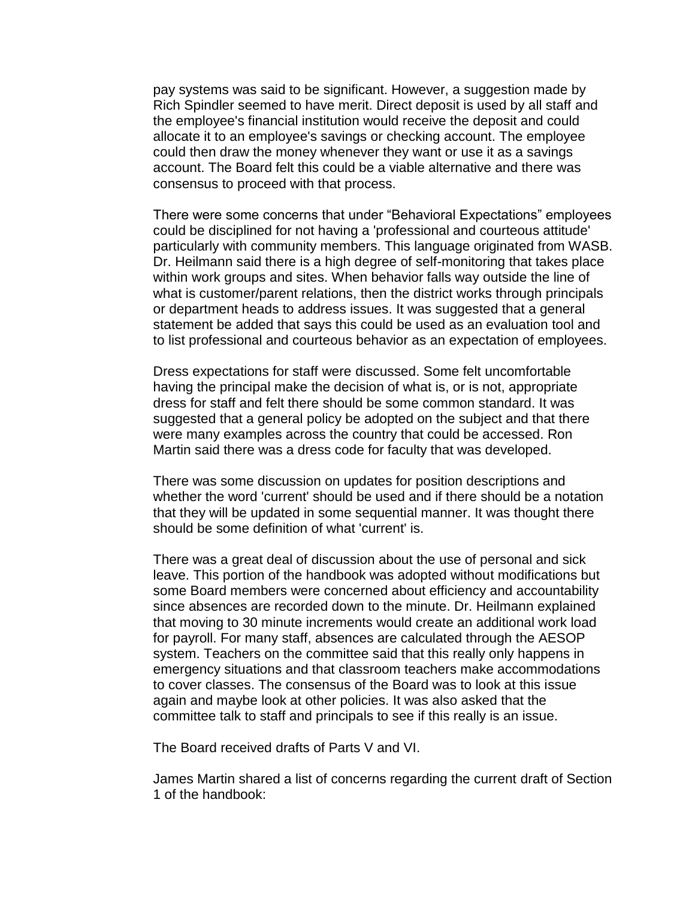pay systems was said to be significant. However, a suggestion made by Rich Spindler seemed to have merit. Direct deposit is used by all staff and the employee's financial institution would receive the deposit and could allocate it to an employee's savings or checking account. The employee could then draw the money whenever they want or use it as a savings account. The Board felt this could be a viable alternative and there was consensus to proceed with that process.

There were some concerns that under "Behavioral Expectations" employees could be disciplined for not having a 'professional and courteous attitude' particularly with community members. This language originated from WASB. Dr. Heilmann said there is a high degree of self-monitoring that takes place within work groups and sites. When behavior falls way outside the line of what is customer/parent relations, then the district works through principals or department heads to address issues. It was suggested that a general statement be added that says this could be used as an evaluation tool and to list professional and courteous behavior as an expectation of employees.

Dress expectations for staff were discussed. Some felt uncomfortable having the principal make the decision of what is, or is not, appropriate dress for staff and felt there should be some common standard. It was suggested that a general policy be adopted on the subject and that there were many examples across the country that could be accessed. Ron Martin said there was a dress code for faculty that was developed.

There was some discussion on updates for position descriptions and whether the word 'current' should be used and if there should be a notation that they will be updated in some sequential manner. It was thought there should be some definition of what 'current' is.

There was a great deal of discussion about the use of personal and sick leave. This portion of the handbook was adopted without modifications but some Board members were concerned about efficiency and accountability since absences are recorded down to the minute. Dr. Heilmann explained that moving to 30 minute increments would create an additional work load for payroll. For many staff, absences are calculated through the AESOP system. Teachers on the committee said that this really only happens in emergency situations and that classroom teachers make accommodations to cover classes. The consensus of the Board was to look at this issue again and maybe look at other policies. It was also asked that the committee talk to staff and principals to see if this really is an issue.

The Board received drafts of Parts V and VI.

James Martin shared a list of concerns regarding the current draft of Section 1 of the handbook: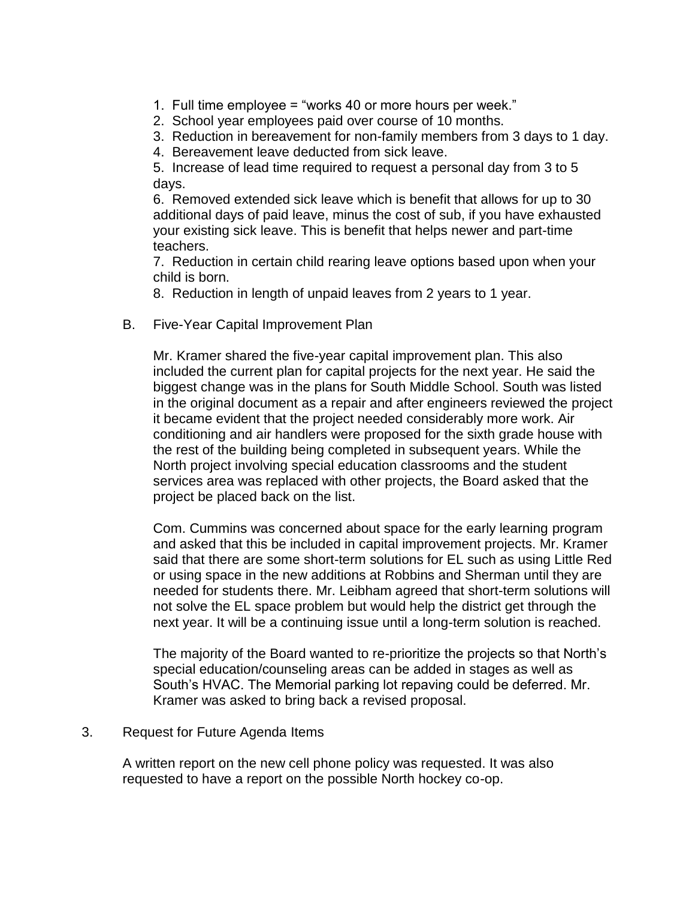- 1. Full time employee = "works 40 or more hours per week."
- 2. School year employees paid over course of 10 months.
- 3. Reduction in bereavement for non-family members from 3 days to 1 day.
- 4. Bereavement leave deducted from sick leave.

5. Increase of lead time required to request a personal day from 3 to 5 days.

6. Removed extended sick leave which is benefit that allows for up to 30 additional days of paid leave, minus the cost of sub, if you have exhausted your existing sick leave. This is benefit that helps newer and part-time teachers.

7. Reduction in certain child rearing leave options based upon when your child is born.

8. Reduction in length of unpaid leaves from 2 years to 1 year.

B. Five-Year Capital Improvement Plan

Mr. Kramer shared the five-year capital improvement plan. This also included the current plan for capital projects for the next year. He said the biggest change was in the plans for South Middle School. South was listed in the original document as a repair and after engineers reviewed the project it became evident that the project needed considerably more work. Air conditioning and air handlers were proposed for the sixth grade house with the rest of the building being completed in subsequent years. While the North project involving special education classrooms and the student services area was replaced with other projects, the Board asked that the project be placed back on the list.

Com. Cummins was concerned about space for the early learning program and asked that this be included in capital improvement projects. Mr. Kramer said that there are some short-term solutions for EL such as using Little Red or using space in the new additions at Robbins and Sherman until they are needed for students there. Mr. Leibham agreed that short-term solutions will not solve the EL space problem but would help the district get through the next year. It will be a continuing issue until a long-term solution is reached.

The majority of the Board wanted to re-prioritize the projects so that North's special education/counseling areas can be added in stages as well as South's HVAC. The Memorial parking lot repaving could be deferred. Mr. Kramer was asked to bring back a revised proposal.

#### 3. Request for Future Agenda Items

A written report on the new cell phone policy was requested. It was also requested to have a report on the possible North hockey co-op.